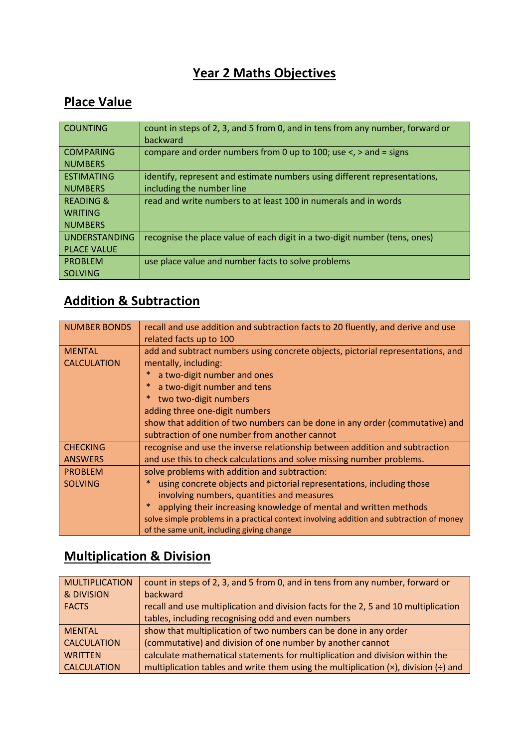### **Year 2 Maths Objectives**

#### **Place Value**

| <b>COUNTING</b>      | count in steps of 2, 3, and 5 from 0, and in tens from any number, forward or<br>backward |
|----------------------|-------------------------------------------------------------------------------------------|
| <b>COMPARING</b>     | compare and order numbers from 0 up to 100; use $\lt$ , $>$ and = signs                   |
| <b>NUMBERS</b>       |                                                                                           |
| <b>ESTIMATING</b>    | identify, represent and estimate numbers using different representations,                 |
| <b>NUMBERS</b>       | including the number line                                                                 |
| <b>READING &amp;</b> | read and write numbers to at least 100 in numerals and in words                           |
| <b>WRITING</b>       |                                                                                           |
| <b>NUMBERS</b>       |                                                                                           |
| <b>UNDERSTANDING</b> | recognise the place value of each digit in a two-digit number (tens, ones)                |
| <b>PLACE VALUE</b>   |                                                                                           |
| <b>PROBLEM</b>       | use place value and number facts to solve problems                                        |
| <b>SOLVING</b>       |                                                                                           |

## **Addition & Subtraction**

| <b>NUMBER BONDS</b> | recall and use addition and subtraction facts to 20 fluently, and derive and use<br>related facts up to 100 |
|---------------------|-------------------------------------------------------------------------------------------------------------|
| <b>MENTAL</b>       | add and subtract numbers using concrete objects, pictorial representations, and                             |
| <b>CALCULATION</b>  | mentally, including:                                                                                        |
|                     | a two-digit number and ones<br>×                                                                            |
|                     | ∗<br>a two-digit number and tens                                                                            |
|                     | $\ast$<br>two two-digit numbers                                                                             |
|                     | adding three one-digit numbers                                                                              |
|                     | show that addition of two numbers can be done in any order (commutative) and                                |
|                     | subtraction of one number from another cannot                                                               |
| <b>CHECKING</b>     | recognise and use the inverse relationship between addition and subtraction                                 |
| <b>ANSWERS</b>      | and use this to check calculations and solve missing number problems.                                       |
| <b>PROBLEM</b>      | solve problems with addition and subtraction:                                                               |
| <b>SOLVING</b>      | using concrete objects and pictorial representations, including those<br>*                                  |
|                     | involving numbers, quantities and measures                                                                  |
|                     | *<br>applying their increasing knowledge of mental and written methods                                      |
|                     | solve simple problems in a practical context involving addition and subtraction of money                    |
|                     | of the same unit, including giving change                                                                   |

### **Multiplication & Division**

| <b>MULTIPLICATION</b> | count in steps of 2, 3, and 5 from 0, and in tens from any number, forward or                          |
|-----------------------|--------------------------------------------------------------------------------------------------------|
| & DIVISION            | backward                                                                                               |
| <b>FACTS</b>          | recall and use multiplication and division facts for the 2, 5 and 10 multiplication                    |
|                       | tables, including recognising odd and even numbers                                                     |
| <b>MENTAL</b>         | show that multiplication of two numbers can be done in any order                                       |
| <b>CALCULATION</b>    | (commutative) and division of one number by another cannot                                             |
| <b>WRITTEN</b>        | calculate mathematical statements for multiplication and division within the                           |
| <b>CALCULATION</b>    | multiplication tables and write them using the multiplication $(x)$ , division $\left(\div\right)$ and |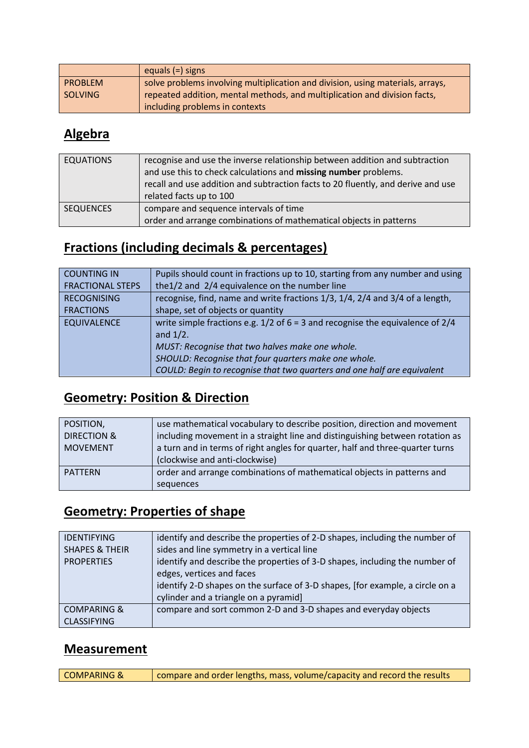|                | equals $(=)$ signs                                                             |
|----------------|--------------------------------------------------------------------------------|
| <b>PROBLEM</b> | solve problems involving multiplication and division, using materials, arrays, |
| SOLVING        | repeated addition, mental methods, and multiplication and division facts,      |
|                | including problems in contexts                                                 |

### **Algebra**

| <b>EQUATIONS</b> | recognise and use the inverse relationship between addition and subtraction      |
|------------------|----------------------------------------------------------------------------------|
|                  | and use this to check calculations and missing number problems.                  |
|                  | recall and use addition and subtraction facts to 20 fluently, and derive and use |
|                  | related facts up to 100                                                          |
| <b>SEQUENCES</b> | compare and sequence intervals of time                                           |
|                  | order and arrange combinations of mathematical objects in patterns               |

# **Fractions (including decimals & percentages)**

| <b>COUNTING IN</b>      | Pupils should count in fractions up to 10, starting from any number and using     |
|-------------------------|-----------------------------------------------------------------------------------|
| <b>FRACTIONAL STEPS</b> | the 1/2 and 2/4 equivalence on the number line                                    |
| <b>RECOGNISING</b>      | recognise, find, name and write fractions 1/3, 1/4, 2/4 and 3/4 of a length,      |
| <b>FRACTIONS</b>        | shape, set of objects or quantity                                                 |
| <b>EQUIVALENCE</b>      | write simple fractions e.g. $1/2$ of 6 = 3 and recognise the equivalence of $2/4$ |
|                         | and $1/2$ .                                                                       |
|                         | MUST: Recognise that two halves make one whole.                                   |
|                         | SHOULD: Recognise that four quarters make one whole.                              |
|                         | COULD: Begin to recognise that two quarters and one half are equivalent           |

### **Geometry: Position & Direction**

| POSITION,              | use mathematical vocabulary to describe position, direction and movement      |
|------------------------|-------------------------------------------------------------------------------|
| <b>DIRECTION &amp;</b> | including movement in a straight line and distinguishing between rotation as  |
| <b>MOVEMENT</b>        | a turn and in terms of right angles for quarter, half and three-quarter turns |
|                        | (clockwise and anti-clockwise)                                                |
| <b>PATTERN</b>         | order and arrange combinations of mathematical objects in patterns and        |
|                        | sequences                                                                     |

## **Geometry: Properties of shape**

| <b>IDENTIFYING</b><br><b>SHAPES &amp; THEIR</b><br><b>PROPERTIES</b> | identify and describe the properties of 2-D shapes, including the number of<br>sides and line symmetry in a vertical line<br>identify and describe the properties of 3-D shapes, including the number of<br>edges, vertices and faces<br>identify 2-D shapes on the surface of 3-D shapes, [for example, a circle on a<br>cylinder and a triangle on a pyramid] |
|----------------------------------------------------------------------|-----------------------------------------------------------------------------------------------------------------------------------------------------------------------------------------------------------------------------------------------------------------------------------------------------------------------------------------------------------------|
| <b>COMPARING &amp;</b><br><b>CLASSIFYING</b>                         | compare and sort common 2-D and 3-D shapes and everyday objects                                                                                                                                                                                                                                                                                                 |

#### **Measurement**

| COMPARING & | $\vert$ compare and order lengths, mass, volume/capacity and record the results |
|-------------|---------------------------------------------------------------------------------|
|-------------|---------------------------------------------------------------------------------|